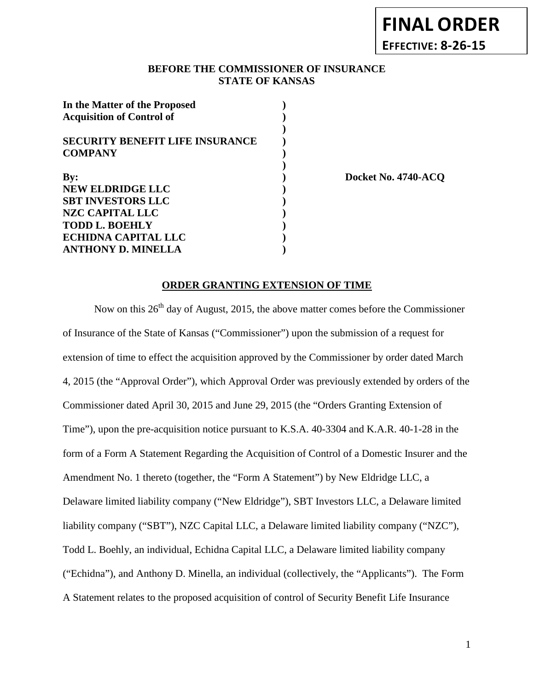## **BEFORE THE COMMISSIONER OF INSURANCE STATE OF KANSAS**

| In the Matter of the Proposed          |  |
|----------------------------------------|--|
| <b>Acquisition of Control of</b>       |  |
|                                        |  |
| <b>SECURITY BENEFIT LIFE INSURANCE</b> |  |
| <b>COMPANY</b>                         |  |
| By:                                    |  |
| <b>NEW ELDRIDGE LLC</b>                |  |
|                                        |  |
| <b>SBT INVESTORS LLC</b>               |  |
| <b>NZC CAPITAL LLC</b>                 |  |
| <b>TODD L. BOEHLY</b>                  |  |
| <b>ECHIDNA CAPITAL LLC</b>             |  |
| <b>ANTHONY D. MINELLA</b>              |  |

**By: ) Docket No. 4740-ACQ**

### **ORDER GRANTING EXTENSION OF TIME**

Now on this  $26<sup>th</sup>$  day of August, 2015, the above matter comes before the Commissioner of Insurance of the State of Kansas ("Commissioner") upon the submission of a request for extension of time to effect the acquisition approved by the Commissioner by order dated March 4, 2015 (the "Approval Order"), which Approval Order was previously extended by orders of the Commissioner dated April 30, 2015 and June 29, 2015 (the "Orders Granting Extension of Time"), upon the pre-acquisition notice pursuant to K.S.A. 40-3304 and K.A.R. 40-1-28 in the form of a Form A Statement Regarding the Acquisition of Control of a Domestic Insurer and the Amendment No. 1 thereto (together, the "Form A Statement") by New Eldridge LLC, a Delaware limited liability company ("New Eldridge"), SBT Investors LLC, a Delaware limited liability company ("SBT"), NZC Capital LLC, a Delaware limited liability company ("NZC"), Todd L. Boehly, an individual, Echidna Capital LLC, a Delaware limited liability company ("Echidna"), and Anthony D. Minella, an individual (collectively, the "Applicants"). The Form A Statement relates to the proposed acquisition of control of Security Benefit Life Insurance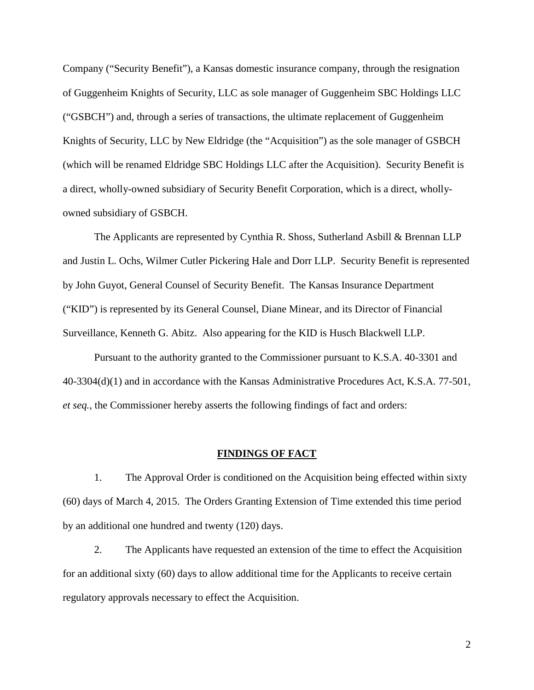Company ("Security Benefit"), a Kansas domestic insurance company, through the resignation of Guggenheim Knights of Security, LLC as sole manager of Guggenheim SBC Holdings LLC ("GSBCH") and, through a series of transactions, the ultimate replacement of Guggenheim Knights of Security, LLC by New Eldridge (the "Acquisition") as the sole manager of GSBCH (which will be renamed Eldridge SBC Holdings LLC after the Acquisition). Security Benefit is a direct, wholly-owned subsidiary of Security Benefit Corporation, which is a direct, whollyowned subsidiary of GSBCH.

The Applicants are represented by Cynthia R. Shoss, Sutherland Asbill & Brennan LLP and Justin L. Ochs, Wilmer Cutler Pickering Hale and Dorr LLP. Security Benefit is represented by John Guyot, General Counsel of Security Benefit. The Kansas Insurance Department ("KID") is represented by its General Counsel, Diane Minear, and its Director of Financial Surveillance, Kenneth G. Abitz. Also appearing for the KID is Husch Blackwell LLP.

Pursuant to the authority granted to the Commissioner pursuant to K.S.A. 40-3301 and 40-3304(d)(1) and in accordance with the Kansas Administrative Procedures Act, K.S.A. 77-501, *et seq.*, the Commissioner hereby asserts the following findings of fact and orders:

#### **FINDINGS OF FACT**

1. The Approval Order is conditioned on the Acquisition being effected within sixty (60) days of March 4, 2015. The Orders Granting Extension of Time extended this time period by an additional one hundred and twenty (120) days.

2. The Applicants have requested an extension of the time to effect the Acquisition for an additional sixty (60) days to allow additional time for the Applicants to receive certain regulatory approvals necessary to effect the Acquisition.

2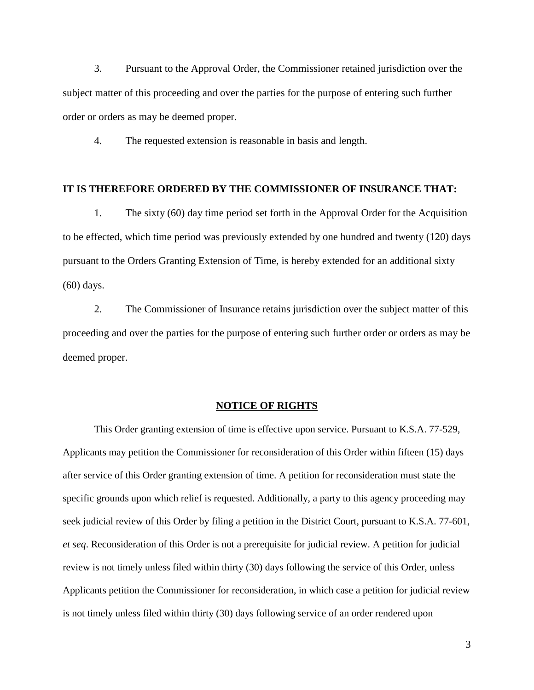3. Pursuant to the Approval Order, the Commissioner retained jurisdiction over the subject matter of this proceeding and over the parties for the purpose of entering such further order or orders as may be deemed proper.

4. The requested extension is reasonable in basis and length.

#### **IT IS THEREFORE ORDERED BY THE COMMISSIONER OF INSURANCE THAT:**

1. The sixty (60) day time period set forth in the Approval Order for the Acquisition to be effected, which time period was previously extended by one hundred and twenty (120) days pursuant to the Orders Granting Extension of Time, is hereby extended for an additional sixty (60) days.

2. The Commissioner of Insurance retains jurisdiction over the subject matter of this proceeding and over the parties for the purpose of entering such further order or orders as may be deemed proper.

#### **NOTICE OF RIGHTS**

This Order granting extension of time is effective upon service. Pursuant to K.S.A. 77-529, Applicants may petition the Commissioner for reconsideration of this Order within fifteen (15) days after service of this Order granting extension of time. A petition for reconsideration must state the specific grounds upon which relief is requested. Additionally, a party to this agency proceeding may seek judicial review of this Order by filing a petition in the District Court, pursuant to K.S.A. 77-601, *et seq*. Reconsideration of this Order is not a prerequisite for judicial review. A petition for judicial review is not timely unless filed within thirty (30) days following the service of this Order, unless Applicants petition the Commissioner for reconsideration, in which case a petition for judicial review is not timely unless filed within thirty (30) days following service of an order rendered upon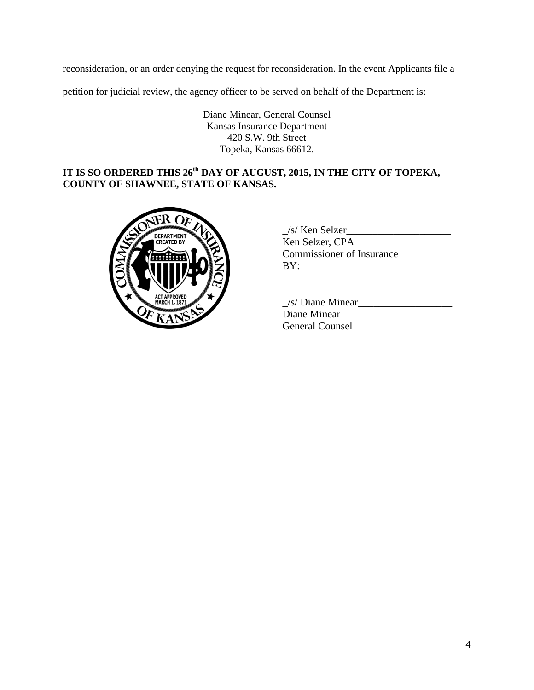reconsideration, or an order denying the request for reconsideration. In the event Applicants file a

petition for judicial review, the agency officer to be served on behalf of the Department is:

Diane Minear, General Counsel Kansas Insurance Department 420 S.W. 9th Street Topeka, Kansas 66612.

# **IT IS SO ORDERED THIS 26th DAY OF AUGUST, 2015, IN THE CITY OF TOPEKA, COUNTY OF SHAWNEE, STATE OF KANSAS.**



 $\angle$ s/ Ken Selzer $\angle$ Ken Selzer, CPA Commissioner of Insurance BY:

 $\frac{1}{s}$  Diane Minear Diane Minear General Counsel